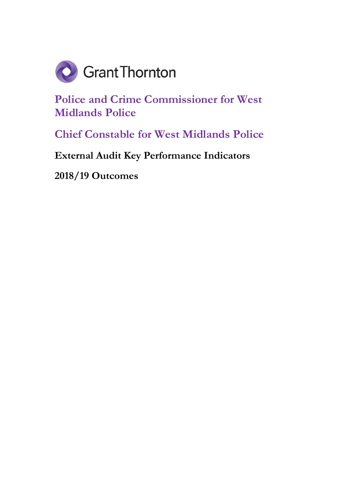

**Police and Crime Commissioner for West Midlands Police**

**Chief Constable for West Midlands Police**

**External Audit Key Performance Indicators** 

**2018/19 Outcomes**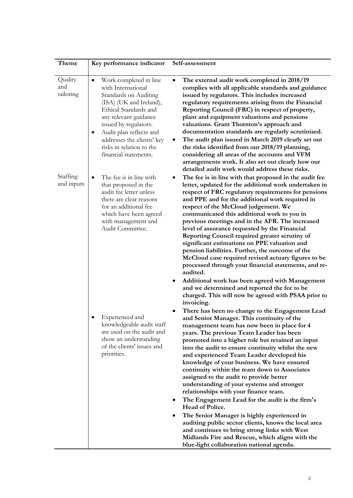| Theme                                                 | Key performance indicator                                                                                                                                                                                                                                                                                                                                                                                                             | Self-assessment                                                                                                                                                                                                                                                                                                                                                                                                                                                                                                                                                                                                                                                                                                                                                                                                                                                                                                                                                                   |
|-------------------------------------------------------|---------------------------------------------------------------------------------------------------------------------------------------------------------------------------------------------------------------------------------------------------------------------------------------------------------------------------------------------------------------------------------------------------------------------------------------|-----------------------------------------------------------------------------------------------------------------------------------------------------------------------------------------------------------------------------------------------------------------------------------------------------------------------------------------------------------------------------------------------------------------------------------------------------------------------------------------------------------------------------------------------------------------------------------------------------------------------------------------------------------------------------------------------------------------------------------------------------------------------------------------------------------------------------------------------------------------------------------------------------------------------------------------------------------------------------------|
| Quality<br>and<br>tailoring<br>Staffing<br>and inputs | Work completed in line<br>٠<br>with International<br>Standards on Auditing<br>(ISA) (UK and Ireland),<br>Ethical Standards and<br>any relevant guidance<br>issued by regulators.<br>Audit plan reflects and<br>٠<br>addresses the clients' key<br>risks in relation to the<br>financial statements.<br>The fee is in line with<br>that proposed in the<br>audit fee letter unless<br>there are clear reasons<br>for an additional fee | The external audit work completed in 2018/19<br>$\bullet$<br>complies with all applicable standards and guidance<br>issued by regulators. This includes increased<br>regulatory requirements arising from the Financial<br>Reporting Council (FRC) in respect of property,<br>plant and equipment valuations and pensions<br>valuations. Grant Thornton's approach and<br>documentation standards are regularly scrutinised.<br>The audit plan issued in March 2019 clearly set out<br>$\bullet$<br>the risks identified from our 2018/19 planning,<br>considering all areas of the accounts and VFM<br>arrangements work. It also set out clearly how our<br>detailed audit work would address these risks.<br>The fee is in line with that proposed in the audit fee<br>letter, updated for the additional work undertaken in<br>respect of FRC regulatory requirements for pensions<br>and PPE and for the additional work required in<br>respect of the McCloud judgement. We |
|                                                       | which have been agreed<br>with management and<br>Audit Committee.                                                                                                                                                                                                                                                                                                                                                                     | communicated this additional work to you in<br>previous meetings and in the AFR. The increased<br>level of assurance requested by the Financial<br>Reporting Council required greater scrutiny of<br>significant estimations on PPE valuation and<br>pension liabilities. Further, the outcome of the<br>McCloud case required revised actuary figures to be<br>processed through your financial statements, and re-<br>audited.<br>Additional work has been agreed with Management<br>and we determined and reported the fee to be<br>charged. This will now be agreed with PSAA prior to<br>invoicing.                                                                                                                                                                                                                                                                                                                                                                          |
|                                                       | Experienced and<br>knowledgeable audit staff<br>are used on the audit and<br>show an understanding<br>of the clients' issues and<br>priorities.                                                                                                                                                                                                                                                                                       | There has been no change to the Engagement Lead<br>and Senior Manager. This continuity of the<br>management team has now been in place for 4<br>years. The previous Team Leader has been<br>promoted into a higher role but retained an input<br>into the audit to ensure continuity whilst the new<br>and experienced Team Leader developed his<br>knowledge of your business. We have ensured<br>continuity within the team down to Associates<br>assigned to the audit to provide better<br>understanding of your systems and stronger<br>relationships with your finance team.<br>The Engagement Lead for the audit is the firm's<br>Head of Police.<br>The Senior Manager is highly experienced in                                                                                                                                                                                                                                                                           |
|                                                       |                                                                                                                                                                                                                                                                                                                                                                                                                                       | auditing public sector clients, knows the local area<br>and continues to bring strong links with West<br>Midlands Fire and Rescue, which aligns with the<br>blue-light collaboration national agenda.                                                                                                                                                                                                                                                                                                                                                                                                                                                                                                                                                                                                                                                                                                                                                                             |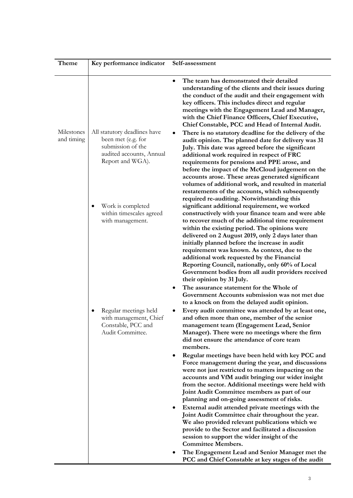| Theme                    | Key performance indicator                                                                                               | Self-assessment                                                                                                                                                                                                                                                                                                                                                                                                                                                                                                                                            |
|--------------------------|-------------------------------------------------------------------------------------------------------------------------|------------------------------------------------------------------------------------------------------------------------------------------------------------------------------------------------------------------------------------------------------------------------------------------------------------------------------------------------------------------------------------------------------------------------------------------------------------------------------------------------------------------------------------------------------------|
|                          |                                                                                                                         | The team has demonstrated their detailed<br>$\bullet$<br>understanding of the clients and their issues during<br>the conduct of the audit and their engagement with<br>key officers. This includes direct and regular<br>meetings with the Engagement Lead and Manager,<br>with the Chief Finance Officers, Chief Executive,<br>Chief Constable, PCC and Head of Internal Audit.                                                                                                                                                                           |
| Milestones<br>and timing | All statutory deadlines have<br>been met (e.g. for<br>submission of the<br>audited accounts, Annual<br>Report and WGA). | There is no statutory deadline for the delivery of the<br>$\bullet$<br>audit opinion. The planned date for delivery was 31<br>July. This date was agreed before the significant<br>additional work required in respect of FRC<br>requirements for pensions and PPE arose, and<br>before the impact of the McCloud judgement on the<br>accounts arose. These areas generated significant<br>volumes of additional work, and resulted in material<br>restatements of the accounts, which subsequently<br>required re-auditing. Notwithstanding this          |
|                          | Work is completed<br>٠<br>within timescales agreed<br>with management.                                                  | significant additional requirement, we worked<br>constructively with your finance team and were able<br>to recover much of the additional time requirement<br>within the existing period. The opinions were<br>delivered on 2 August 2019, only 2 days later than<br>initially planned before the increase in audit<br>requirement was known. As context, due to the<br>additional work requested by the Financial<br>Reporting Council, nationally, only 60% of Local<br>Government bodies from all audit providers received<br>their opinion by 31 July. |
|                          | Regular meetings held<br>with management, Chief<br>Constable, PCC and<br>Audit Committee.                               | The assurance statement for the Whole of<br>$\bullet$<br>Government Accounts submission was not met due<br>to a knock on from the delayed audit opinion.<br>Every audit committee was attended by at least one,<br>and often more than one, member of the senior<br>management team (Engagement Lead, Senior<br>Manager). There were no meetings where the firm<br>did not ensure the attendance of core team<br>members.                                                                                                                                  |
|                          |                                                                                                                         | Regular meetings have been held with key PCC and<br>٠<br>Force management during the year, and discussions<br>were not just restricted to matters impacting on the<br>accounts and VfM audit bringing our wider insight<br>from the sector. Additional meetings were held with<br>Joint Audit Committee members as part of our<br>planning and on-going assessment of risks.                                                                                                                                                                               |
|                          |                                                                                                                         | External audit attended private meetings with the<br>٠<br>Joint Audit Committee chair throughout the year.<br>We also provided relevant publications which we<br>provide to the Sector and facilitated a discussion<br>session to support the wider insight of the<br><b>Committee Members.</b>                                                                                                                                                                                                                                                            |
|                          |                                                                                                                         | The Engagement Lead and Senior Manager met the<br>٠<br>PCC and Chief Constable at key stages of the audit                                                                                                                                                                                                                                                                                                                                                                                                                                                  |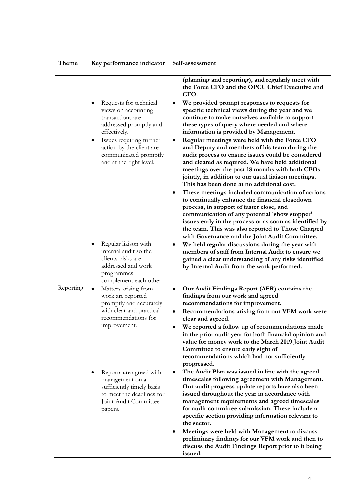| Theme     | Key performance indicator                                                                                                                | Self-assessment                                                                                                                                                                                                                                                                                                                                                                    |
|-----------|------------------------------------------------------------------------------------------------------------------------------------------|------------------------------------------------------------------------------------------------------------------------------------------------------------------------------------------------------------------------------------------------------------------------------------------------------------------------------------------------------------------------------------|
|           |                                                                                                                                          | (planning and reporting), and regularly meet with<br>the Force CFO and the OPCC Chief Executive and<br>CFO.                                                                                                                                                                                                                                                                        |
|           | Requests for technical<br>views on accounting<br>transactions are<br>addressed promptly and<br>effectively.                              | We provided prompt responses to requests for<br>specific technical views during the year and we<br>continue to make ourselves available to support<br>these types of query where needed and where<br>information is provided by Management.                                                                                                                                        |
|           | Issues requiring further<br>$\bullet$<br>action by the client are<br>communicated promptly<br>and at the right level.                    | Regular meetings were held with the Force CFO<br>and Deputy and members of his team during the<br>audit process to ensure issues could be considered<br>and cleared as required. We have held additional<br>meetings over the past 18 months with both CFOs<br>jointly, in addition to our usual liaison meetings.<br>This has been done at no additional cost.                    |
|           |                                                                                                                                          | These meetings included communication of actions<br>to continually enhance the financial closedown<br>process, in support of faster close, and<br>communication of any potential 'show stopper'<br>issues early in the process or as soon as identified by<br>the team. This was also reported to Those Charged<br>with Governance and the Joint Audit Committee.                  |
|           | Regular liaison with<br>internal audit so the<br>clients' risks are<br>addressed and work<br>programmes<br>complement each other.        | We held regular discussions during the year with<br>members of staff from Internal Audit to ensure we<br>gained a clear understanding of any risks identified<br>by Internal Audit from the work performed.                                                                                                                                                                        |
| Reporting | Matters arising from<br>٠<br>work are reported<br>promptly and accurately<br>with clear and practical<br>recommendations for             | Our Audit Findings Report (AFR) contains the<br>findings from our work and agreed<br>recommendations for improvement.<br>Recommendations arising from our VFM work were<br>٠<br>clear and agreed.                                                                                                                                                                                  |
|           | improvement.                                                                                                                             | We reported a follow up of recommendations made<br>in the prior audit year for both financial opinion and<br>value for money work to the March 2019 Joint Audit<br>Committee to ensure early sight of<br>recommendations which had not sufficiently<br>progressed.                                                                                                                 |
|           | Reports are agreed with<br>management on a<br>sufficiently timely basis<br>to meet the deadlines for<br>Joint Audit Committee<br>papers. | The Audit Plan was issued in line with the agreed<br>timescales following agreement with Management.<br>Our audit progress update reports have also been<br>issued throughout the year in accordance with<br>management requirements and agreed timescales<br>for audit committee submission. These include a<br>specific section providing information relevant to<br>the sector. |
|           |                                                                                                                                          | Meetings were held with Management to discuss<br>preliminary findings for our VFM work and then to<br>discuss the Audit Findings Report prior to it being<br>issued.                                                                                                                                                                                                               |